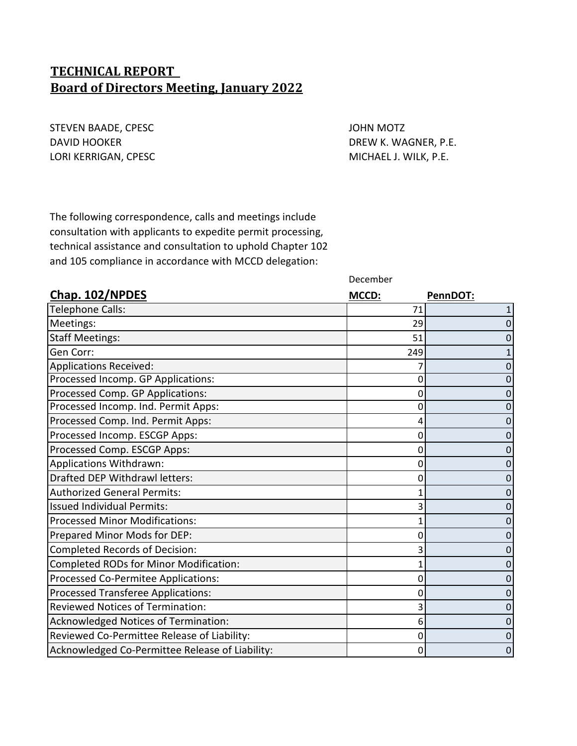# **TECHNICAL REPORT Board of Directors Meeting, January 2022**

STEVEN BAADE, CPESC **And STEVEN BAADE, CPESC JOHN MOTZ** DAVID HOOKER DAVID HOOKER DREW K. WAGNER, P.E. LORI KERRIGAN, CPESC **MICHAEL J. WILK, P.E.** 

The following correspondence, calls and meetings include consultation with applicants to expedite permit processing, technical assistance and consultation to uphold Chapter 102 and 105 compliance in accordance with MCCD delegation:

December

| Chap. 102/NPDES                                 | MCCD: | PennDOT: |
|-------------------------------------------------|-------|----------|
| <b>Telephone Calls:</b>                         | 71    |          |
| Meetings:                                       | 29    |          |
| <b>Staff Meetings:</b>                          | 51    |          |
| Gen Corr:                                       | 249   |          |
| <b>Applications Received:</b>                   |       |          |
| Processed Incomp. GP Applications:              | 0     |          |
| Processed Comp. GP Applications:                | 0     |          |
| Processed Incomp. Ind. Permit Apps:             | 0     |          |
| Processed Comp. Ind. Permit Apps:               |       |          |
| Processed Incomp. ESCGP Apps:                   | 0     |          |
| Processed Comp. ESCGP Apps:                     | Ω     |          |
| Applications Withdrawn:                         | Ω     |          |
| Drafted DEP Withdrawl letters:                  | 0     |          |
| <b>Authorized General Permits:</b>              |       |          |
| <b>Issued Individual Permits:</b>               |       |          |
| <b>Processed Minor Modifications:</b>           |       |          |
| Prepared Minor Mods for DEP:                    | Ω     |          |
| Completed Records of Decision:                  |       |          |
| Completed RODs for Minor Modification:          |       |          |
| Processed Co-Permitee Applications:             | 0     |          |
| Processed Transferee Applications:              | 0     |          |
| Reviewed Notices of Termination:                |       |          |
| Acknowledged Notices of Termination:            |       |          |
| Reviewed Co-Permittee Release of Liability:     | 0     |          |
| Acknowledged Co-Permittee Release of Liability: | 0     | O        |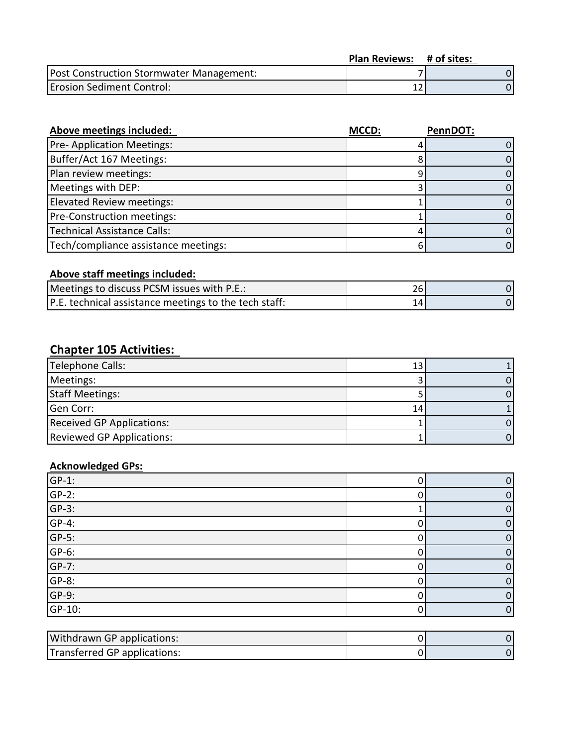|                                          | Plan Reviews: # of sites: |  |
|------------------------------------------|---------------------------|--|
| Post Construction Stormwater Management: |                           |  |
| <b>Erosion Sediment Control:</b>         |                           |  |

| Above meetings included:             | <b>MCCD:</b> | PennDOT: |
|--------------------------------------|--------------|----------|
| <b>Pre-Application Meetings:</b>     |              |          |
| Buffer/Act 167 Meetings:             |              |          |
| Plan review meetings:                |              |          |
| Meetings with DEP:                   |              |          |
| <b>Elevated Review meetings:</b>     |              |          |
| <b>Pre-Construction meetings:</b>    |              |          |
| Technical Assistance Calls:          |              |          |
| Tech/compliance assistance meetings: |              |          |

# **Above staff meetings included:**

| Meetings to discuss PCSM issues with P.E.:            | 26 I |  |
|-------------------------------------------------------|------|--|
| P.E. technical assistance meetings to the tech staff: | 14   |  |

# **Chapter 105 Activities:**

| Telephone Calls:                 |    |  |
|----------------------------------|----|--|
| Meetings:                        |    |  |
| <b>Staff Meetings:</b>           |    |  |
| Gen Corr:                        | 14 |  |
| <b>Received GP Applications:</b> |    |  |
| <b>Reviewed GP Applications:</b> |    |  |

# **Acknowledged GPs:**

| $GP-1$ : |   |
|----------|---|
| $GP-2$ : |   |
| $GP-3:$  |   |
| $GP-4$ : |   |
| $GP-5$ : |   |
| $GP-6$ : |   |
| $GP-7$ : |   |
| GP-8:    |   |
| $GP-9$ : |   |
| GP-10:   | ŋ |

| Withdrawn GP applications:   |  |
|------------------------------|--|
| Transferred GP applications: |  |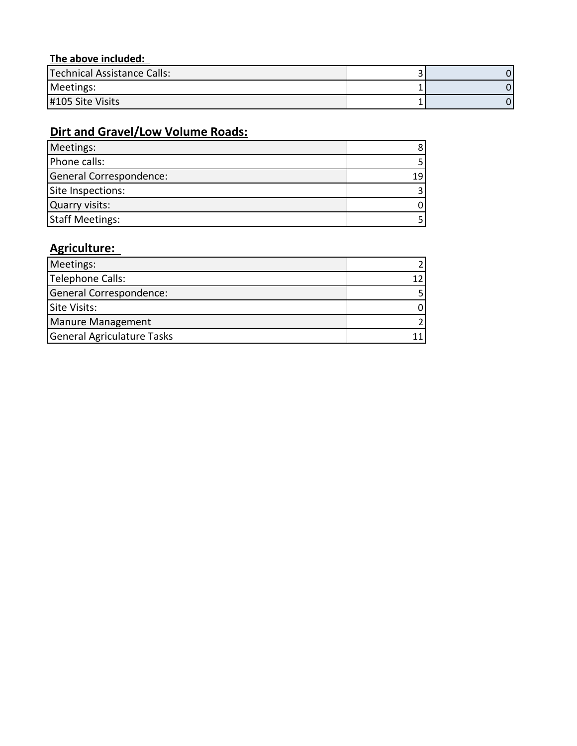# **The above included:**

| Technical Assistance Calls: |  |
|-----------------------------|--|
| Meetings:                   |  |
| #105 Site Visits            |  |

# **Dirt and Gravel/Low Volume Roads:**

| Meetings:               |    |
|-------------------------|----|
| Phone calls:            |    |
| General Correspondence: | 19 |
| Site Inspections:       |    |
| Quarry visits:          |    |
| <b>Staff Meetings:</b>  |    |

# **Agriculture:**

| Meetings:                  |    |
|----------------------------|----|
| Telephone Calls:           | 12 |
| General Correspondence:    |    |
| <b>Site Visits:</b>        |    |
| Manure Management          |    |
| General Agriculature Tasks | 11 |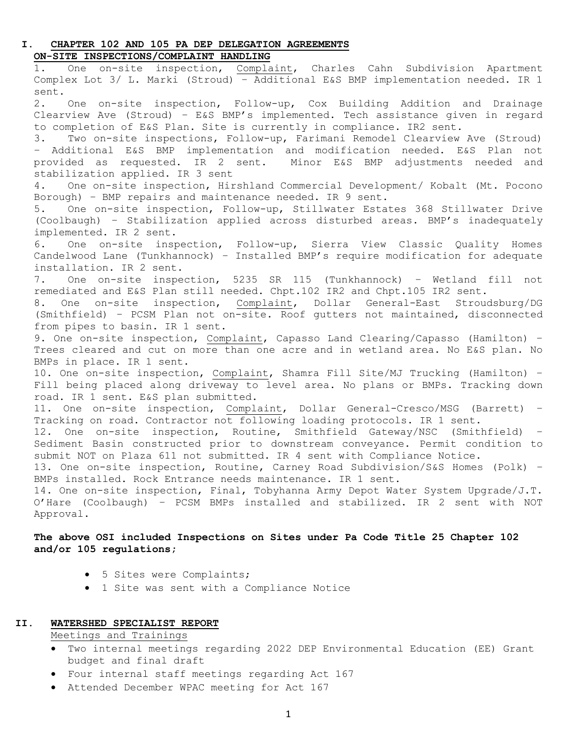#### **I. CHAPTER 102 AND 105 PA DEP DELEGATION AGREEMENTS ON-SITE INSPECTIONS/COMPLAINT HANDLING**

1. One on-site inspection, Complaint, Charles Cahn Subdivision Apartment Complex Lot 3/ L. Marki (Stroud) – Additional E&S BMP implementation needed. IR 1 sent. 2. One on-site inspection, Follow-up, Cox Building Addition and Drainage Clearview Ave (Stroud) – E&S BMP's implemented. Tech assistance given in regard to completion of E&S Plan. Site is currently in compliance. IR2 sent. 3. Two on-site inspections, Follow-up, Farimani Remodel Clearview Ave (Stroud) – Additional E&S BMP implementation and modification needed. E&S Plan not provided as requested. IR 2 sent. Minor E&S BMP adjustments needed and

stabilization applied. IR 3 sent<br>4. One on-site inspection, Hir One on-site inspection, Hirshland Commercial Development/ Kobalt (Mt. Pocono Borough) – BMP repairs and maintenance needed. IR 9 sent.

5. One on-site inspection, Follow-up, Stillwater Estates 368 Stillwater Drive (Coolbaugh) – Stabilization applied across disturbed areas. BMP's inadequately implemented. IR 2 sent.<br>6. One on-site insp

One on-site inspection, Follow-up, Sierra View Classic Quality Homes Candelwood Lane (Tunkhannock) – Installed BMP's require modification for adequate installation. IR 2 sent.

7. One on-site inspection, 5235 SR 115 (Tunkhannock) – Wetland fill not remediated and E&S Plan still needed. Chpt.102 IR2 and Chpt.105 IR2 sent.

8. One on-site inspection, Complaint, Dollar General-East Stroudsburg/DG (Smithfield) – PCSM Plan not on-site. Roof gutters not maintained, disconnected from pipes to basin. IR 1 sent.

9. One on-site inspection, Complaint, Capasso Land Clearing/Capasso (Hamilton) -Trees cleared and cut on more than one acre and in wetland area. No E&S plan. No BMPs in place. IR 1 sent.

10. One on-site inspection, Complaint, Shamra Fill Site/MJ Trucking (Hamilton) – Fill being placed along driveway to level area. No plans or BMPs. Tracking down road. IR 1 sent. E&S plan submitted.

11. One on-site inspection, Complaint, Dollar General-Cresco/MSG (Barrett) – Tracking on road. Contractor not following loading protocols. IR 1 sent.

12. One on-site inspection, Routine, Smithfield Gateway/NSC (Smithfield) – Sediment Basin constructed prior to downstream conveyance. Permit condition to submit NOT on Plaza 611 not submitted. IR 4 sent with Compliance Notice.

13. One on-site inspection, Routine, Carney Road Subdivision/S&S Homes (Polk) – BMPs installed. Rock Entrance needs maintenance. IR 1 sent.

14. One on-site inspection, Final, Tobyhanna Army Depot Water System Upgrade/J.T. O'Hare (Coolbaugh) – PCSM BMPs installed and stabilized. IR 2 sent with NOT Approval.

# **The above OSI included Inspections on Sites under Pa Code Title 25 Chapter 102 and/or 105 regulations;**

- 5 Sites were Complaints;
- 1 Site was sent with a Compliance Notice

# **II. WATERSHED SPECIALIST REPORT**

Meetings and Trainings

- Two internal meetings regarding 2022 DEP Environmental Education (EE) Grant budget and final draft
- Four internal staff meetings regarding Act 167
- Attended December WPAC meeting for Act 167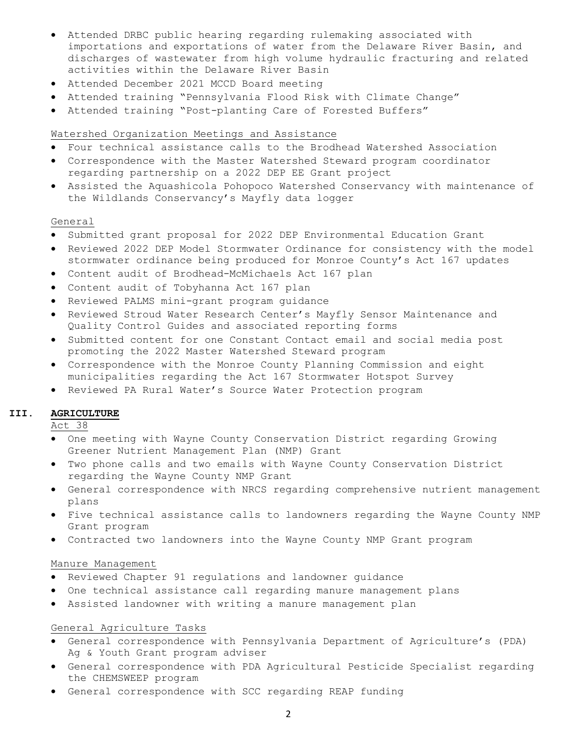- Attended DRBC public hearing regarding rulemaking associated with importations and exportations of water from the Delaware River Basin, and discharges of wastewater from high volume hydraulic fracturing and related activities within the Delaware River Basin
- Attended December 2021 MCCD Board meeting
- Attended training "Pennsylvania Flood Risk with Climate Change"
- Attended training "Post-planting Care of Forested Buffers"

## Watershed Organization Meetings and Assistance

- Four technical assistance calls to the Brodhead Watershed Association
- Correspondence with the Master Watershed Steward program coordinator regarding partnership on a 2022 DEP EE Grant project
- Assisted the Aquashicola Pohopoco Watershed Conservancy with maintenance of the Wildlands Conservancy's Mayfly data logger

## General

- Submitted grant proposal for 2022 DEP Environmental Education Grant
- Reviewed 2022 DEP Model Stormwater Ordinance for consistency with the model stormwater ordinance being produced for Monroe County's Act 167 updates
- Content audit of Brodhead-McMichaels Act 167 plan
- Content audit of Tobyhanna Act 167 plan
- Reviewed PALMS mini-grant program guidance
- Reviewed Stroud Water Research Center's Mayfly Sensor Maintenance and Quality Control Guides and associated reporting forms
- Submitted content for one Constant Contact email and social media post promoting the 2022 Master Watershed Steward program
- Correspondence with the Monroe County Planning Commission and eight municipalities regarding the Act 167 Stormwater Hotspot Survey
- Reviewed PA Rural Water's Source Water Protection program

## **III. AGRICULTURE**

Act 38

- One meeting with Wayne County Conservation District regarding Growing Greener Nutrient Management Plan (NMP) Grant
- Two phone calls and two emails with Wayne County Conservation District regarding the Wayne County NMP Grant
- General correspondence with NRCS regarding comprehensive nutrient management plans
- Five technical assistance calls to landowners regarding the Wayne County NMP Grant program
- Contracted two landowners into the Wayne County NMP Grant program

## Manure Management

- Reviewed Chapter 91 regulations and landowner guidance
- One technical assistance call regarding manure management plans
- Assisted landowner with writing a manure management plan

## General Agriculture Tasks

- General correspondence with Pennsylvania Department of Agriculture's (PDA) Ag & Youth Grant program adviser
- General correspondence with PDA Agricultural Pesticide Specialist regarding the CHEMSWEEP program
- General correspondence with SCC regarding REAP funding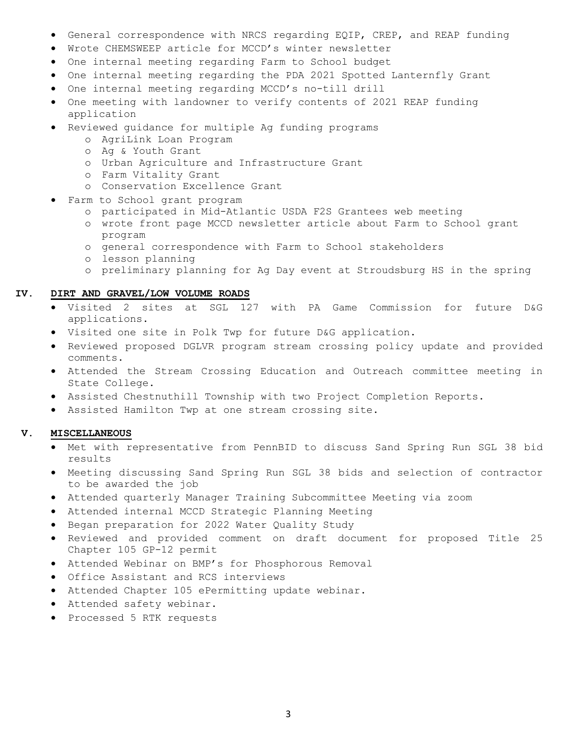- General correspondence with NRCS regarding EQIP, CREP, and REAP funding
- Wrote CHEMSWEEP article for MCCD's winter newsletter
- One internal meeting regarding Farm to School budget
- One internal meeting regarding the PDA 2021 Spotted Lanternfly Grant
- One internal meeting regarding MCCD's no-till drill
- One meeting with landowner to verify contents of 2021 REAP funding application
- Reviewed guidance for multiple Ag funding programs
	- o AgriLink Loan Program
	- o Ag & Youth Grant
	- o Urban Agriculture and Infrastructure Grant
	- o Farm Vitality Grant
	- o Conservation Excellence Grant
- Farm to School grant program
	- o participated in Mid-Atlantic USDA F2S Grantees web meeting
	- o wrote front page MCCD newsletter article about Farm to School grant program
	- o general correspondence with Farm to School stakeholders
	- o lesson planning
	- o preliminary planning for Ag Day event at Stroudsburg HS in the spring

#### **IV. DIRT AND GRAVEL/LOW VOLUME ROADS**

- Visited 2 sites at SGL 127 with PA Game Commission for future D&G applications.
- Visited one site in Polk Twp for future D&G application.
- Reviewed proposed DGLVR program stream crossing policy update and provided comments.
- Attended the Stream Crossing Education and Outreach committee meeting in State College.
- Assisted Chestnuthill Township with two Project Completion Reports.
- Assisted Hamilton Twp at one stream crossing site.

#### **V. MISCELLANEOUS**

- Met with representative from PennBID to discuss Sand Spring Run SGL 38 bid results
- Meeting discussing Sand Spring Run SGL 38 bids and selection of contractor to be awarded the job
- Attended quarterly Manager Training Subcommittee Meeting via zoom
- Attended internal MCCD Strategic Planning Meeting
- Began preparation for 2022 Water Quality Study
- Reviewed and provided comment on draft document for proposed Title 25 Chapter 105 GP-12 permit
- Attended Webinar on BMP's for Phosphorous Removal
- Office Assistant and RCS interviews
- Attended Chapter 105 ePermitting update webinar.
- Attended safety webinar.
- Processed 5 RTK requests